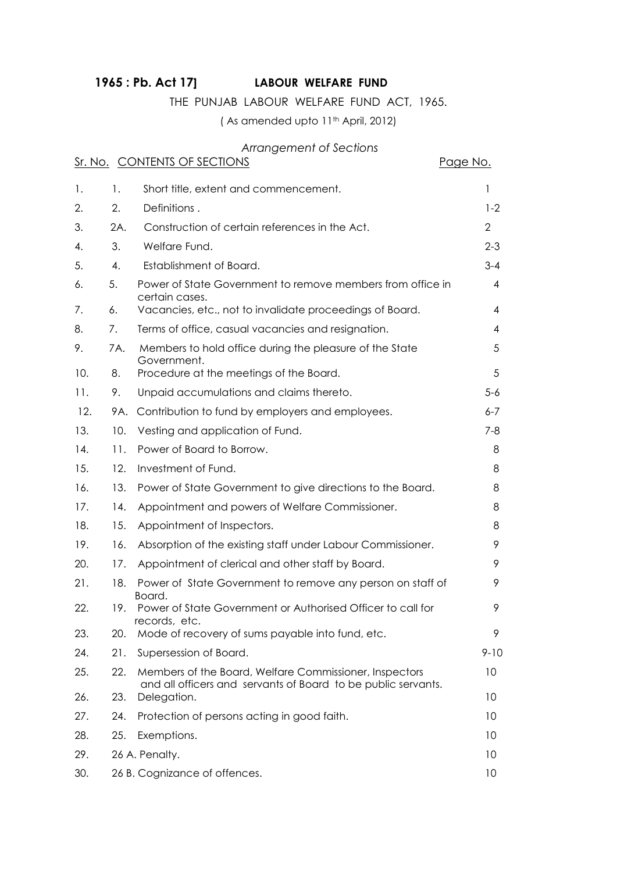# **1965 : Pb. Act 17] LABOUR WELFARE FUND**

## THE PUNJAB LABOUR WELFARE FUND ACT, 1965.

( As amended upto 11th April, 2012)

### *Arrangement of Sections*

|     |     | Sr. No. CONTENTS OF SECTIONS                                                                                            | Page No.       |
|-----|-----|-------------------------------------------------------------------------------------------------------------------------|----------------|
| 1.  | 1.  | Short title, extent and commencement.                                                                                   | 1              |
| 2.  | 2.  | Definitions.                                                                                                            | $1 - 2$        |
| 3.  | 2A. | Construction of certain references in the Act.                                                                          | $\overline{2}$ |
| 4.  | 3.  | Welfare Fund.                                                                                                           | $2 - 3$        |
| 5.  | 4.  | Establishment of Board.                                                                                                 | $3 - 4$        |
| 6.  | 5.  | Power of State Government to remove members from office in<br>certain cases.                                            | 4              |
| 7.  | 6.  | Vacancies, etc., not to invalidate proceedings of Board.                                                                | 4              |
| 8.  | 7.  | Terms of office, casual vacancies and resignation.                                                                      | 4              |
| 9.  | 7A. | Members to hold office during the pleasure of the State<br>Government.                                                  | 5              |
| 10. | 8.  | Procedure at the meetings of the Board.                                                                                 | 5              |
| 11. | 9.  | Unpaid accumulations and claims thereto.                                                                                | $5-6$          |
| 12. | 9A. | Contribution to fund by employers and employees.                                                                        | $6 - 7$        |
| 13. | 10. | Vesting and application of Fund.                                                                                        | 7-8            |
| 14. | 11. | Power of Board to Borrow.                                                                                               | 8              |
| 15. | 12. | Investment of Fund.                                                                                                     | 8              |
| 16. | 13. | Power of State Government to give directions to the Board.                                                              | 8              |
| 17. | 14. | Appointment and powers of Welfare Commissioner.                                                                         | 8              |
| 18. | 15. | Appointment of Inspectors.                                                                                              | 8              |
| 19. | 16. | Absorption of the existing staff under Labour Commissioner.                                                             | 9              |
| 20. | 17. | Appointment of clerical and other staff by Board.                                                                       | 9              |
| 21. | 18. | Power of State Government to remove any person on staff of<br>Board.                                                    | 9              |
| 22. | 19. | Power of State Government or Authorised Officer to call for<br>records, etc.                                            | 9              |
| 23. | 20. | Mode of recovery of sums payable into fund, etc.                                                                        | 9              |
| 24. | 21. | Supersession of Board.                                                                                                  | $9 - 10$       |
| 25. | 22. | Members of the Board, Welfare Commissioner, Inspectors<br>and all officers and servants of Board to be public servants. | 10             |
| 26. | 23. | Delegation.                                                                                                             | 10             |
| 27. | 24. | Protection of persons acting in good faith.                                                                             | 10             |
| 28. | 25. | Exemptions.                                                                                                             | 10             |
| 29. |     | 26 A. Penalty.                                                                                                          | 10             |
| 30. |     | 26 B. Cognizance of offences.                                                                                           | 10             |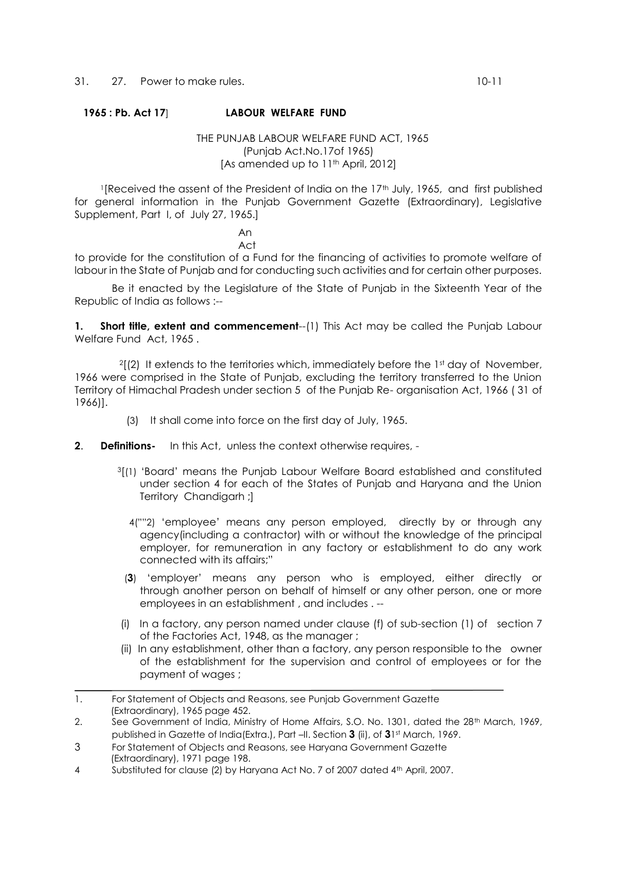### **1965 : Pb. Act 17**] **LABOUR WELFARE FUND**

#### THE PUNJAB LABOUR WELFARE FUND ACT, 1965 (Punjab Act.No.17of 1965) [As amended up to 11<sup>th</sup> April, 2012]

<sup>1</sup>[Received the assent of the President of India on the 17th July, 1965, and first published for general information in the Punjab Government Gazette (Extraordinary), Legislative Supplement, Part I, of July 27, 1965.]

**Andre Stein Communication Act** Act **Act** 

to provide for the constitution of a Fund for the financing of activities to promote welfare of labour in the State of Punjab and for conducting such activities and for certain other purposes.

Be it enacted by the Legislature of the State of Punjab in the Sixteenth Year of the Republic of India as follows :--

**1.** Short title, extent and commencement--(1) This Act may be called the Punjab Labour Welfare Fund Act, 1965 .

 $2[2]$  It extends to the territories which, immediately before the 1st day of November, 1966 were comprised in the State of Punjab, excluding the territory transferred to the Union Territory of Himachal Pradesh under section 5 of the Punjab Re- organisation Act, 1966 ( 31 of 1966)].

- (3) It shall come into force on the first day of July, 1965.
- **2**. **Definitions-** In this Act, unless the context otherwise requires,
	- <sup>3</sup>[(1) 'Board' means the Punjab Labour Welfare Board established and constituted under section 4 for each of the States of Punjab and Haryana and the Union Territory Chandigarh ;]
		- 4(""2) 'employee' means any person employed, directly by or through any agency(including a contractor) with or without the knowledge of the principal employer, for remuneration in any factory or establishment to do any work connected with its affairs;"
	- (**3**) 'employer' means any person who is employed, either directly or through another person on behalf of himself or any other person, one or more employees in an establishment , and includes . --
	- (i) In a factory, any person named under clause (f) of sub-section (1) of section 7 of the Factories Act, 1948, as the manager ;
	- (ii) In any establishment, other than a factory, any person responsible to the owner of the establishment for the supervision and control of employees or for the payment of wages ;
- 1. For Statement of Objects and Reasons, see Punjab Government Gazette (Extraordinary), 1965 page 452.

3 For Statement of Objects and Reasons, see Haryana Government Gazette (Extraordinary), 1971 page 198.

<sup>2.</sup> See Government of India, Ministry of Home Affairs, S.O. No. 1301, dated the 28<sup>th</sup> March, 1969, published in Gazette of India(Extra.), Part –II. Section **3** (ii), of **3**1 st March, 1969.

<sup>4</sup> Substituted for clause (2) by Haryana Act No. 7 of 2007 dated 4th April, 2007.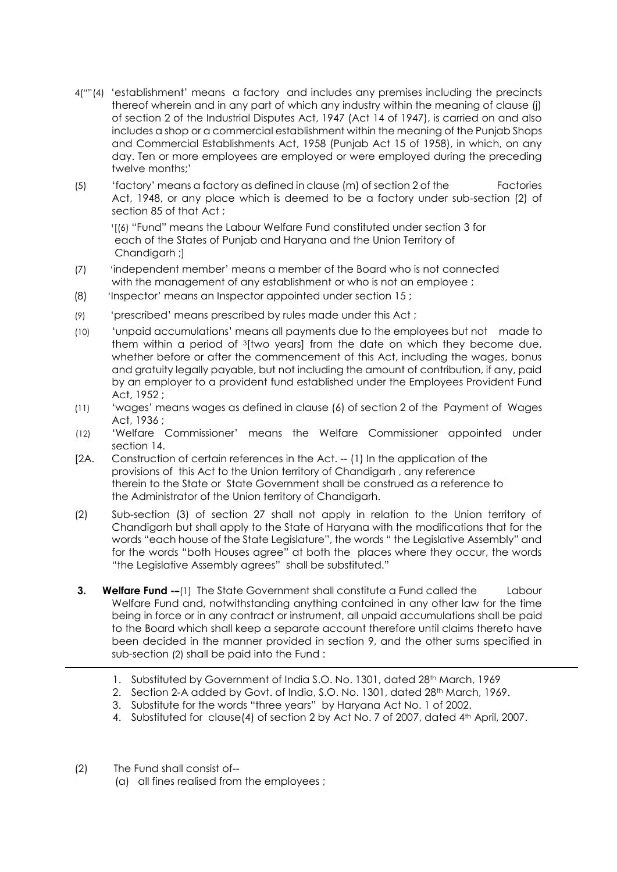- 4(""(4) 'establishment' means a factory and includes any premises including the precincts thereof wherein and in any part of which any industry within the meaning of clause (j) of section 2 of the Industrial Disputes Act, 1947 (Act 14 of 1947), is carried on and also includes a shop or a commercial establishment within the meaning of the Punjab Shops and Commercial Establishments Act, 1958 (Punjab Act 15 of 1958), in which, on any day. Ten or more employees are employed or were employed during the preceding twelve months;'
- (5) 'factory' means a factory as defined in clause (m) of section 2 of the Factories Act, 1948, or any place which is deemed to be a factory under sub-section (2) of section 85 of that Act ;

<sup>1</sup>[(6) "Fund" means the Labour Welfare Fund constituted under section 3 for each of the States of Punjab and Haryana and the Union Territory of Chandigarh ;]

- (7) 'independent member' means a member of the Board who is not connected with the management of any establishment or who is not an employee ;
- (8) 'Inspector' means an Inspector appointed under section 15 ;
- (9) 'prescribed' means prescribed by rules made under this Act ;
- (10) 'unpaid accumulations' means all payments due to the employees but not made to them within a period of <sup>3</sup>[two years] from the date on which they become due, whether before or after the commencement of this Act, including the wages, bonus and gratuity legally payable, but not including the amount of contribution, if any, paid by an employer to a provident fund established under the Employees Provident Fund Act, 1952 ;
- (11) 'wages' means wages as defined in clause (6) of section 2 of the Payment of Wages Act, 1936 ;
- (12) 'Welfare Commissioner' means the Welfare Commissioner appointed under section 14.
- [2A. Construction of certain references in the Act. -- (1) In the application of the provisions of this Act to the Union territory of Chandigarh , any reference therein to the State or State Government shall be construed as a reference to the Administrator of the Union territory of Chandigarh.
- (2) Sub-section (3) of section 27 shall not apply in relation to the Union territory of Chandigarh but shall apply to the State of Haryana with the modifications that for the words "each house of the State Legislature", the words " the Legislative Assembly" and for the words "both Houses agree" at both the places where they occur, the words "the Legislative Assembly agrees" shall be substituted."
- **3. Welfare Fund -–**(1) The State Government shall constitute a Fund called the Labour Welfare Fund and, notwithstanding anything contained in any other law for the time being in force or in any contract or instrument, all unpaid accumulations shall be paid to the Board which shall keep a separate account therefore until claims thereto have been decided in the manner provided in section 9, and the other sums specified in sub-section (2) shall be paid into the Fund :
	- 1. Substituted by Government of India S.O. No. 1301, dated 28<sup>th</sup> March, 1969
	- 2. Section 2-A added by Govt. of India, S.O. No. 1301, dated 28<sup>th</sup> March, 1969.
	- 3. Substitute for the words "three years" by Haryana Act No. 1 of 2002.
	- 4. Substituted for clause(4) of section 2 by Act No. 7 of 2007, dated 4th April, 2007.
- (2) The Fund shall consist of--
	- (a) all fines realised from the employees ;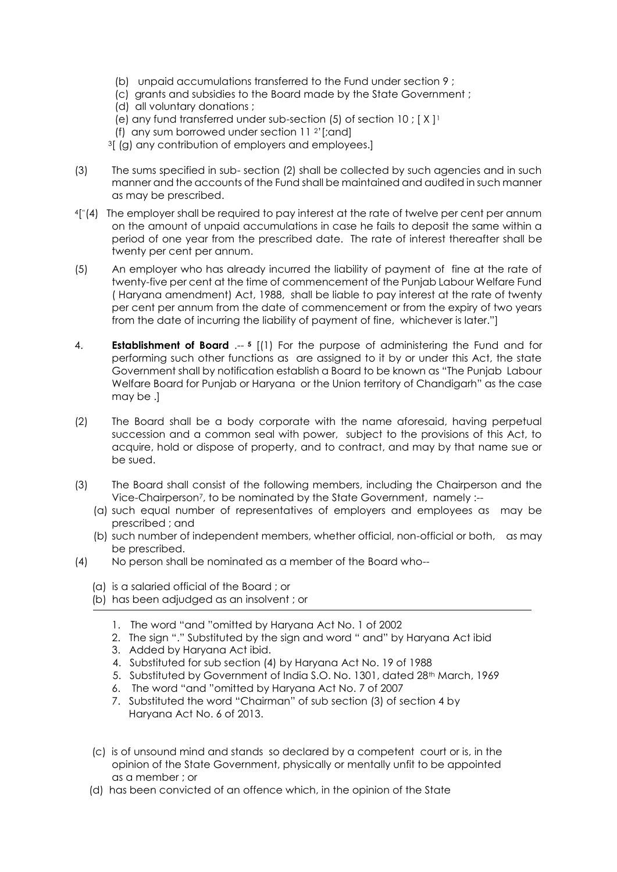- (b) unpaid accumulations transferred to the Fund under section 9 ;
- (c) grants and subsidies to the Board made by the State Government ;
- (d) all voluntary donations ;
- (e) any fund transferred under sub-section  $(5)$  of section  $10$ ;  $[X]$ <sup>1</sup>
- (f) any sum borrowed under section  $11<sup>2</sup>$  [;and]

<sup>3</sup>[ (g) any contribution of employers and employees.]

- (3) The sums specified in sub- section (2) shall be collected by such agencies and in such manner and the accounts of the Fund shall be maintained and audited in such manner as may be prescribed.
- 4[ "(4) The employer shall be required to pay interest at the rate of twelve per cent per annum on the amount of unpaid accumulations in case he fails to deposit the same within a period of one year from the prescribed date. The rate of interest thereafter shall be twenty per cent per annum.
- (5) An employer who has already incurred the liability of payment of fine at the rate of twenty-five per cent at the time of commencement of the Punjab Labour Welfare Fund ( Haryana amendment) Act, 1988, shall be liable to pay interest at the rate of twenty per cent per annum from the date of commencement or from the expiry of two years from the date of incurring the liability of payment of fine, whichever is later."]
- 4. **Establishment of Board** .-- **<sup>5</sup>** [(1) For the purpose of administering the Fund and for performing such other functions as are assigned to it by or under this Act, the state Government shall by notification establish a Board to be known as "The Punjab Labour Welfare Board for Punjab or Haryana or the Union territory of Chandigarh" as the case may be .]
- (2) The Board shall be a body corporate with the name aforesaid, having perpetual succession and a common seal with power, subject to the provisions of this Act, to acquire, hold or dispose of property, and to contract, and may by that name sue or be sued.
- (3) The Board shall consist of the following members, including the Chairperson and the Vice-Chairperson7, to be nominated by the State Government, namely :--
	- (a) such equal number of representatives of employers and employees as may be prescribed ; and
	- (b) such number of independent members, whether official, non-official or both, as may be prescribed.
- (4) No person shall be nominated as a member of the Board who--
	- (a) is a salaried official of the Board ; or
	- (b) has been adjudged as an insolvent ; or
		- 1. The word "and "omitted by Haryana Act No. 1 of 2002
		- 2. The sign "." Substituted by the sign and word " and" by Haryana Act ibid
		- 3. Added by Haryana Act ibid.
		- 4. Substituted for sub section (4) by Haryana Act No. 19 of 1988
		- 5. Substituted by Government of India S.O. No. 1301, dated 28<sup>th</sup> March, 1969
		- 6. The word "and "omitted by Haryana Act No. 7 of 2007
		- 7. Substituted the word "Chairman" of sub section (3) of section 4 by Haryana Act No. 6 of 2013.
	- (c) is of unsound mind and stands so declared by a competent court or is, in the opinion of the State Government, physically or mentally unfit to be appointed as a member ; or
	- (d) has been convicted of an offence which, in the opinion of the State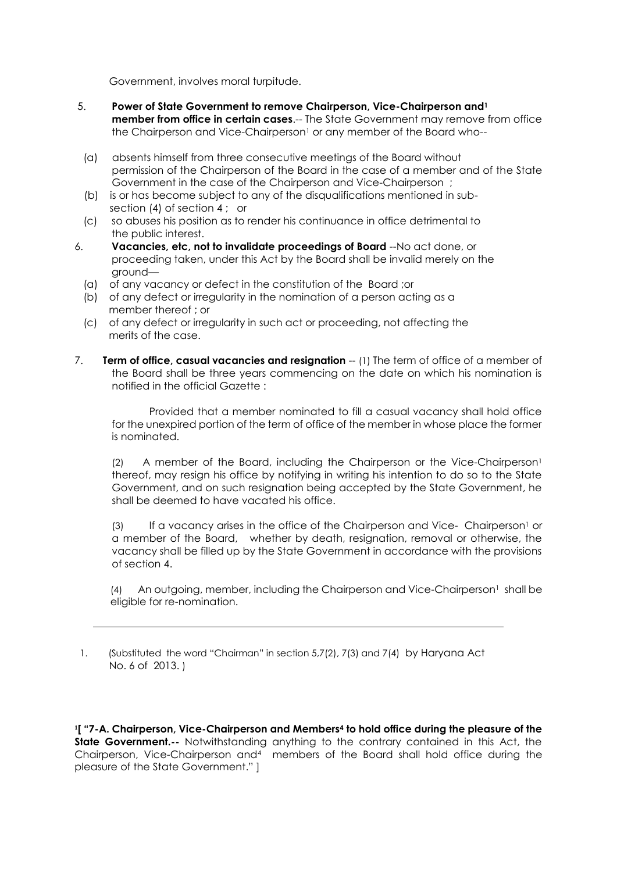Government, involves moral turpitude.

- 5. **Power of State Government to remove Chairperson, Vice-Chairperson and<sup>1</sup> member from office in certain cases**.-- The State Government may remove from office the Chairperson and Vice-Chairperson<sup>1</sup> or any member of the Board who--
- (a) absents himself from three consecutive meetings of the Board without permission of the Chairperson of the Board in the case of a member and of the State Government in the case of the Chairperson and Vice-Chairperson ;
- (b) is or has become subject to any of the disqualifications mentioned in sub section (4) of section 4 ; or
- (c) so abuses his position as to render his continuance in office detrimental to the public interest.
- 6. **Vacancies, etc, not to invalidate proceedings of Board** --No act done, or proceeding taken, under this Act by the Board shall be invalid merely on the ground—
	- (a) of any vacancy or defect in the constitution of the Board ;or
	- (b) of any defect or irregularity in the nomination of a person acting as a member thereof ; or
	- (c) of any defect or irregularity in such act or proceeding, not affecting the merits of the case.
- 7. **Term of office, casual vacancies and resignation** -- (1) The term of office of a member of the Board shall be three years commencing on the date on which his nomination is notified in the official Gazette :

Provided that a member nominated to fill a casual vacancy shall hold office for the unexpired portion of the term of office of the member in whose place the former is nominated.

(2) A member of the Board, including the Chairperson or the Vice-Chairperson<sup>1</sup> thereof, may resign his office by notifying in writing his intention to do so to the State Government, and on such resignation being accepted by the State Government, he shall be deemed to have vacated his office.

(3) If a vacancy arises in the office of the Chairperson and Vice- Chairperson<sup>1</sup> or a member of the Board, whether by death, resignation, removal or otherwise, the vacancy shall be filled up by the State Government in accordance with the provisions of section 4.

(4) An outgoing, member, including the Chairperson and Vice-Chairperson<sup>1</sup> shall be eligible for re-nomination.

 1. (Substituted the word "Chairman" in section 5,7(2), 7(3) and 7(4) by Haryana Act No. 6 of 2013. )

**1 [ "7-A. Chairperson, Vice-Chairperson and Members<sup>4</sup> to hold office during the pleasure of the State Government.**-- Notwithstanding anything to the contrary contained in this Act, the Chairperson, Vice-Chairperson and<sup>4</sup> members of the Board shall hold office during the pleasure of the State Government." ]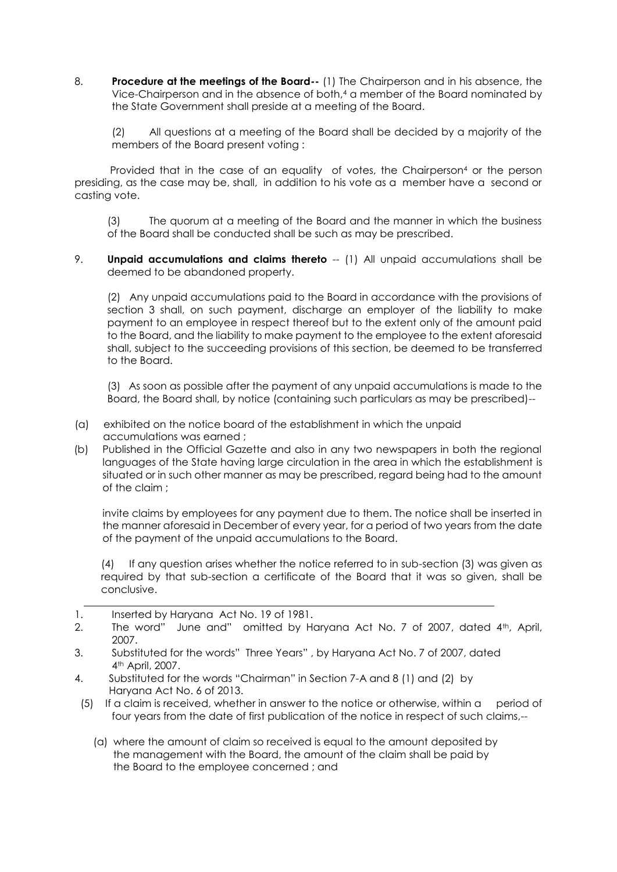8. **Procedure at the meetings of the Board--** (1) The Chairperson and in his absence, the Vice-Chairperson and in the absence of both,<sup>4</sup> a member of the Board nominated by the State Government shall preside at a meeting of the Board.

(2) All questions at a meeting of the Board shall be decided by a majority of the members of the Board present voting :

Provided that in the case of an equality of votes, the Chairperson<sup>4</sup> or the person presiding, as the case may be, shall, in addition to his vote as a member have a second or casting vote.

(3) The quorum at a meeting of the Board and the manner in which the business of the Board shall be conducted shall be such as may be prescribed.

9. **Unpaid accumulations and claims thereto** -- (1) All unpaid accumulations shall be deemed to be abandoned property.

(2) Any unpaid accumulations paid to the Board in accordance with the provisions of section 3 shall, on such payment, discharge an employer of the liability to make payment to an employee in respect thereof but to the extent only of the amount paid to the Board, and the liability to make payment to the employee to the extent aforesaid shall, subject to the succeeding provisions of this section, be deemed to be transferred to the Board.

(3) As soon as possible after the payment of any unpaid accumulations is made to the Board, the Board shall, by notice (containing such particulars as may be prescribed)--

- (a) exhibited on the notice board of the establishment in which the unpaid accumulations was earned ;
- (b) Published in the Official Gazette and also in any two newspapers in both the regional languages of the State having large circulation in the area in which the establishment is situated or in such other manner as may be prescribed, regard being had to the amount of the claim ;

invite claims by employees for any payment due to them. The notice shall be inserted in the manner aforesaid in December of every year, for a period of two years from the date of the payment of the unpaid accumulations to the Board.

(4) If any question arises whether the notice referred to in sub-section (3) was given as required by that sub-section a certificate of the Board that it was so given, shall be conclusive.

- 1. Inserted by Haryana Act No. 19 of 1981.
- 2. The word" June and" omitted by Haryana Act No. 7 of 2007, dated 4<sup>th</sup>, April, 2007.
- 3. Substituted for the words" Three Years" , by Haryana Act No. 7 of 2007, dated 4th April, 2007.
- 4. Substituted for the words "Chairman" in Section 7-A and 8 (1) and (2) by Haryana Act No. 6 of 2013.
- (5) If a claim is received, whether in answer to the notice or otherwise, within a period of four years from the date of first publication of the notice in respect of such claims,--
	- (a) where the amount of claim so received is equal to the amount deposited by the management with the Board, the amount of the claim shall be paid by the Board to the employee concerned ; and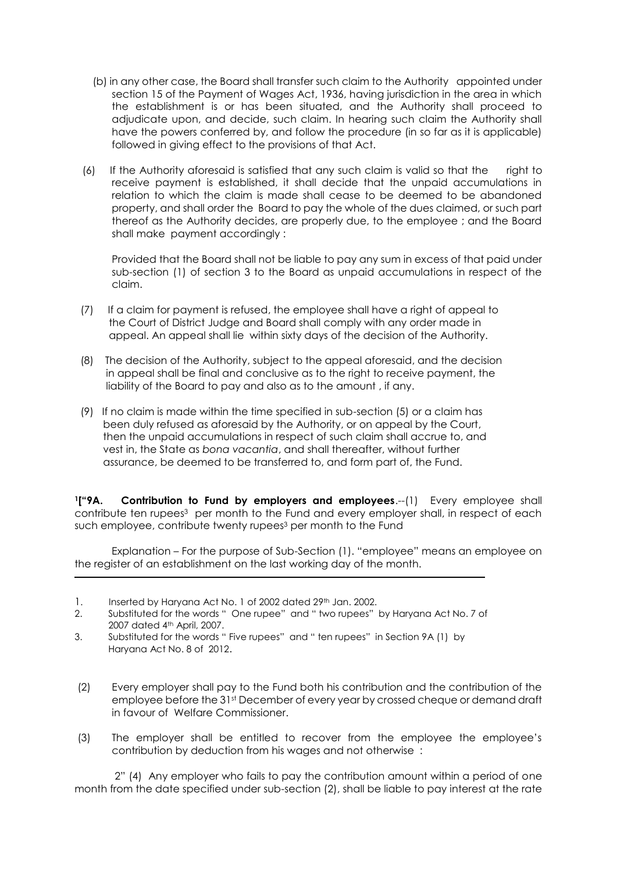- (b) in any other case, the Board shall transfer such claim to the Authority appointed under section 15 of the Payment of Wages Act, 1936, having jurisdiction in the area in which the establishment is or has been situated, and the Authority shall proceed to adjudicate upon, and decide, such claim. In hearing such claim the Authority shall have the powers conferred by, and follow the procedure (in so far as it is applicable) followed in giving effect to the provisions of that Act.
- (6) If the Authority aforesaid is satisfied that any such claim is valid so that the right to receive payment is established, it shall decide that the unpaid accumulations in relation to which the claim is made shall cease to be deemed to be abandoned property, and shall order the Board to pay the whole of the dues claimed, or such part thereof as the Authority decides, are properly due, to the employee ; and the Board shall make payment accordingly :

Provided that the Board shall not be liable to pay any sum in excess of that paid under sub-section (1) of section 3 to the Board as unpaid accumulations in respect of the claim.

- (7) If a claim for payment is refused, the employee shall have a right of appeal to the Court of District Judge and Board shall comply with any order made in appeal. An appeal shall lie within sixty days of the decision of the Authority.
- (8) The decision of the Authority, subject to the appeal aforesaid, and the decision in appeal shall be final and conclusive as to the right to receive payment, the liability of the Board to pay and also as to the amount , if any.
- (9) If no claim is made within the time specified in sub-section (5) or a claim has been duly refused as aforesaid by the Authority, or on appeal by the Court, then the unpaid accumulations in respect of such claim shall accrue to, and vest in, the State as *bona vacantia*, and shall thereafter, without further assurance, be deemed to be transferred to, and form part of, the Fund.

**<sup>1</sup>["9A. Contribution to Fund by employers and employees**.--(1) Every employee shall contribute ten rupees <sup>3</sup> per month to the Fund and every employer shall, in respect of each such employee, contribute twenty rupees <sup>3</sup> per month to the Fund

 Explanation – For the purpose of Sub-Section (1). "employee" means an employee on the register of an establishment on the last working day of the month.

- 1. Inserted by Haryana Act No. 1 of 2002 dated 29<sup>th</sup> Jan. 2002.
- 2. Substituted for the words " One rupee" and " two rupees" by Haryana Act No. 7 of 2007 dated 4th April, 2007.
- 3. Substituted for the words " Five rupees" and " ten rupees" in Section 9A (1) by Haryana Act No. 8 of 2012.
- (2) Every employer shall pay to the Fund both his contribution and the contribution of the employee before the 31st December of every year by crossed cheque or demand draft in favour of Welfare Commissioner.
- (3) The employer shall be entitled to recover from the employee the employee's contribution by deduction from his wages and not otherwise :

 2" (4) Any employer who fails to pay the contribution amount within a period of one month from the date specified under sub-section (2), shall be liable to pay interest at the rate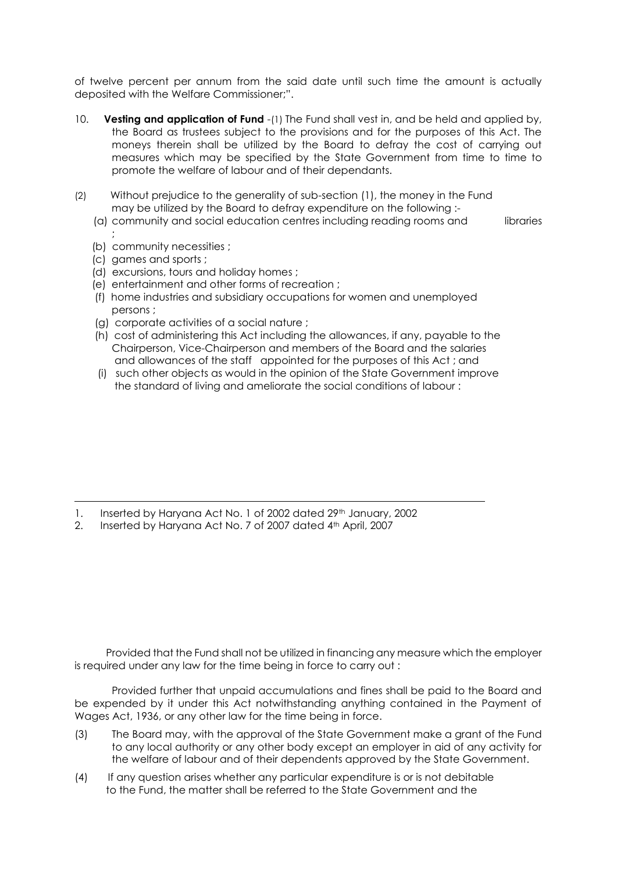of twelve percent per annum from the said date until such time the amount is actually deposited with the Welfare Commissioner;".

- 10. **Vesting and application of Fund** -(1) The Fund shall vest in, and be held and applied by, the Board as trustees subject to the provisions and for the purposes of this Act. The moneys therein shall be utilized by the Board to defray the cost of carrying out measures which may be specified by the State Government from time to time to promote the welfare of labour and of their dependants.
- (2) Without prejudice to the generality of sub-section (1), the money in the Fund may be utilized by the Board to defray expenditure on the following :-
	- (a) community and social education centres including reading rooms and libraries
	- ; (b) community necessities ;
	- (c) games and sports ;
	- (d) excursions, tours and holiday homes ;
	- (e) entertainment and other forms of recreation ;
	- (f) home industries and subsidiary occupations for women and unemployed persons ;
	- (g) corporate activities of a social nature ;
	- (h) cost of administering this Act including the allowances, if any, payable to the Chairperson, Vice-Chairperson and members of the Board and the salaries and allowances of the staff appointed for the purposes of this Act ; and
	- (i) such other objects as would in the opinion of the State Government improve the standard of living and ameliorate the social conditions of labour :

- 1. Inserted by Haryana Act No. 1 of 2002 dated 29th January, 2002
- 2. Inserted by Haryana Act No. 7 of 2007 dated 4th April, 2007

 Provided that the Fund shall not be utilized in financing any measure which the employer is required under any law for the time being in force to carry out :

Provided further that unpaid accumulations and fines shall be paid to the Board and be expended by it under this Act notwithstanding anything contained in the Payment of Wages Act, 1936, or any other law for the time being in force.

- (3) The Board may, with the approval of the State Government make a grant of the Fund to any local authority or any other body except an employer in aid of any activity for the welfare of labour and of their dependents approved by the State Government.
- (4) If any question arises whether any particular expenditure is or is not debitable to the Fund, the matter shall be referred to the State Government and the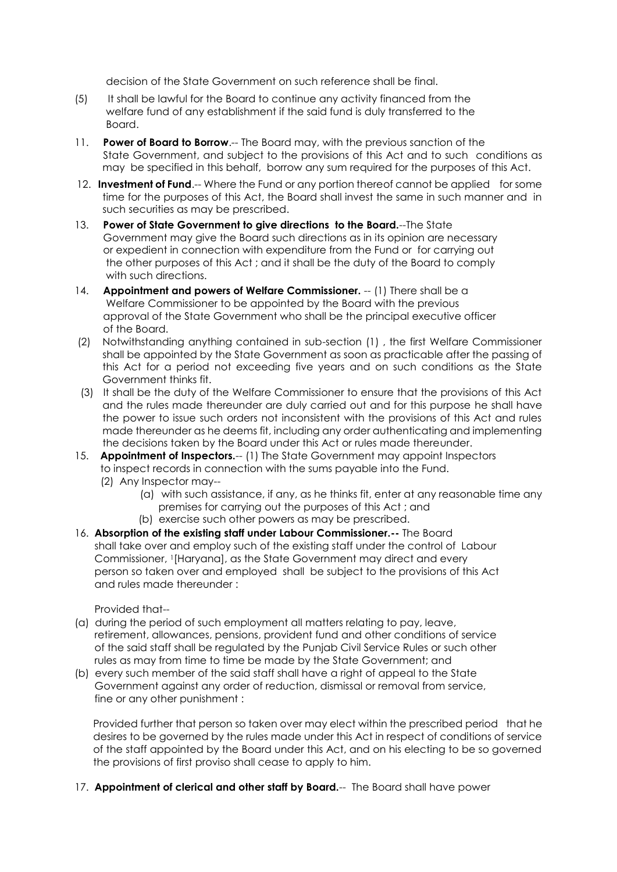decision of the State Government on such reference shall be final.

- (5) It shall be lawful for the Board to continue any activity financed from the welfare fund of any establishment if the said fund is duly transferred to the Board.
- 11. **Power of Board to Borrow**.-- The Board may, with the previous sanction of the State Government, and subject to the provisions of this Act and to such conditions as may be specified in this behalf, borrow any sum required for the purposes of this Act.
- 12. **Investment of Fund.**-- Where the Fund or any portion thereof cannot be applied for some time for the purposes of this Act, the Board shall invest the same in such manner and in such securities as may be prescribed.
- 13. **Power of State Government to give directions to the Board.**--The State Government may give the Board such directions as in its opinion are necessary or expedient in connection with expenditure from the Fund or for carrying out the other purposes of this Act ; and it shall be the duty of the Board to comply with such directions.
- 14. **Appointment and powers of Welfare Commissioner.** -- (1) There shall be a Welfare Commissioner to be appointed by the Board with the previous approval of the State Government who shall be the principal executive officer of the Board.
- (2) Notwithstanding anything contained in sub-section (1) , the first Welfare Commissioner shall be appointed by the State Government as soon as practicable after the passing of this Act for a period not exceeding five years and on such conditions as the State Government thinks fit.
- (3) It shall be the duty of the Welfare Commissioner to ensure that the provisions of this Act and the rules made thereunder are duly carried out and for this purpose he shall have the power to issue such orders not inconsistent with the provisions of this Act and rules made thereunder as he deems fit, including any order authenticating and implementing the decisions taken by the Board under this Act or rules made thereunder.
- 15. **Appointment of Inspectors.--** (1) The State Government may appoint Inspectors to inspect records in connection with the sums payable into the Fund.
	- (2) Any Inspector may--
		- (a) with such assistance, if any, as he thinks fit, enter at any reasonable time any premises for carrying out the purposes of this Act ; and
		- (b) exercise such other powers as may be prescribed.
- 16. **Absorption of the existing staff under Labour Commissioner.--** The Board shall take over and employ such of the existing staff under the control of Labour Commissioner, 1[Haryana], as the State Government may direct and every person so taken over and employed shall be subject to the provisions of this Act and rules made thereunder :

Provided that--

- (a) during the period of such employment all matters relating to pay, leave, retirement, allowances, pensions, provident fund and other conditions of service of the said staff shall be regulated by the Punjab Civil Service Rules or such other rules as may from time to time be made by the State Government; and
- (b) every such member of the said staff shall have a right of appeal to the State Government against any order of reduction, dismissal or removal from service, fine or any other punishment :

Provided further that person so taken over may elect within the prescribed period that he desires to be governed by the rules made under this Act in respect of conditions of service of the staff appointed by the Board under this Act, and on his electing to be so governed the provisions of first proviso shall cease to apply to him.

17. **Appointment of clerical and other staff by Board.**-- The Board shall have power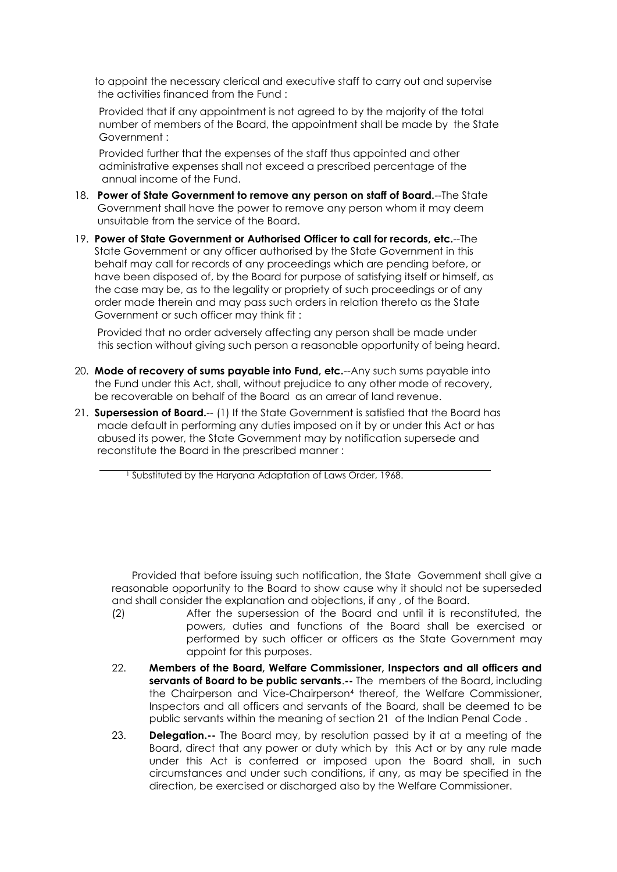to appoint the necessary clerical and executive staff to carry out and supervise the activities financed from the Fund :

 Provided that if any appointment is not agreed to by the majority of the total number of members of the Board, the appointment shall be made by the State Government :

Provided further that the expenses of the staff thus appointed and other administrative expenses shall not exceed a prescribed percentage of the annual income of the Fund.

- 18. **Power of State Government to remove any person on staff of Board.**--The State Government shall have the power to remove any person whom it may deem unsuitable from the service of the Board.
- 19. **Power of State Government or Authorised Officer to call for records, etc.**--The State Government or any officer authorised by the State Government in this behalf may call for records of any proceedings which are pending before, or have been disposed of, by the Board for purpose of satisfying itself or himself, as the case may be, as to the legality or propriety of such proceedings or of any order made therein and may pass such orders in relation thereto as the State Government or such officer may think fit :

 Provided that no order adversely affecting any person shall be made under this section without giving such person a reasonable opportunity of being heard.

- 20. **Mode of recovery of sums payable into Fund, etc.**--Any such sums payable into the Fund under this Act, shall, without prejudice to any other mode of recovery, be recoverable on behalf of the Board as an arrear of land revenue.
- 21. **Supersession of Board.**-- (1) If the State Government is satisfied that the Board has made default in performing any duties imposed on it by or under this Act or has abused its power, the State Government may by notification supersede and reconstitute the Board in the prescribed manner :

<sup>1</sup> Substituted by the Haryana Adaptation of Laws Order, 1968.

Provided that before issuing such notification, the State Government shall aive a reasonable opportunity to the Board to show cause why it should not be superseded and shall consider the explanation and objections, if any , of the Board.

- (2) After the supersession of the Board and until it is reconstituted, the powers, duties and functions of the Board shall be exercised or performed by such officer or officers as the State Government may appoint for this purposes.
- 22. **Members of the Board, Welfare Commissioner, Inspectors and all officers and servants of Board to be public servants**.**--** The members of the Board, including the Chairperson and Vice-Chairperson<sup>4</sup> thereof, the Welfare Commissioner, Inspectors and all officers and servants of the Board, shall be deemed to be public servants within the meaning of section 21 of the Indian Penal Code .
- 23. **Delegation.--** The Board may, by resolution passed by it at a meeting of the Board, direct that any power or duty which by this Act or by any rule made under this Act is conferred or imposed upon the Board shall, in such circumstances and under such conditions, if any, as may be specified in the direction, be exercised or discharged also by the Welfare Commissioner.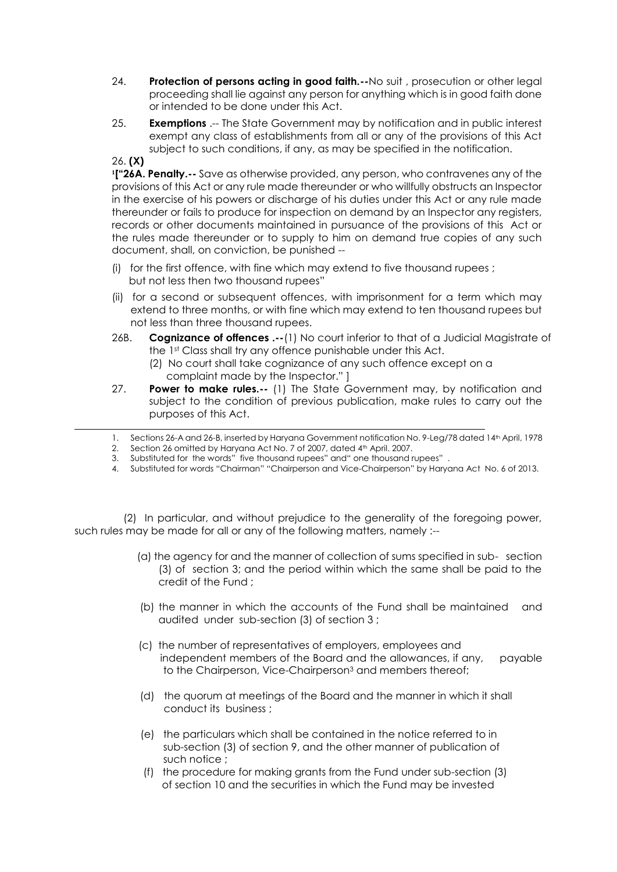- 24. **Protection of persons acting in good faith.--**No suit , prosecution or other legal proceeding shall lie against any person for anything which is in good faith done or intended to be done under this Act.
- 25. **Exemptions** .-- The State Government may by notification and in public interest exempt any class of establishments from all or any of the provisions of this Act subject to such conditions, if any, as may be specified in the notification.
- 26. **(X)**

**1 ["26A. Penalty.--** Save as otherwise provided, any person, who contravenes any of the provisions of this Act or any rule made thereunder or who willfully obstructs an Inspector in the exercise of his powers or discharge of his duties under this Act or any rule made thereunder or fails to produce for inspection on demand by an Inspector any registers, records or other documents maintained in pursuance of the provisions of this Act or the rules made thereunder or to supply to him on demand true copies of any such document, shall, on conviction, be punished --

- (i) for the first offence, with fine which may extend to five thousand rupees ; but not less then two thousand rupees"
- (ii) for a second or subsequent offences, with imprisonment for a term which may extend to three months, or with fine which may extend to ten thousand rupees but not less than three thousand rupees.
- 26B. **Cognizance of offences .--**(1) No court inferior to that of a Judicial Magistrate of the 1st Class shall try any offence punishable under this Act.
	- (2) No court shall take cognizance of any such offence except on a complaint made by the Inspector." ]
- 27. **Power to make rules.--** (1) The State Government may, by notification and subject to the condition of previous publication, make rules to carry out the purposes of this Act.
- 1. Sections 26-A and 26-B, inserted by Haryana Government notification No. 9-Leg/78 dated 14th April, 1978<br>2. Section 26 omitted by Haryana Act No. 7 of 2007, dated 4th April. 2007.<br>3. Substituted for the words" five thous
- 2. Section 26 omitted by Haryana Act No. 7 of 2007, dated 4th April. 2007.
- 3. Substituted for the words" five thousand rupees" and" one thousand rupees" .
- 4. Substituted for words "Chairman" "Chairperson and Vice-Chairperson" by Haryana Act No. 6 of 2013.

 (2) In particular, and without prejudice to the generality of the foregoing power, such rules may be made for all or any of the following matters, namely :--

- (a) the agency for and the manner of collection of sums specified in sub- section (3) of section 3; and the period within which the same shall be paid to the credit of the Fund ;
- (b) the manner in which the accounts of the Fund shall be maintained and audited under sub-section (3) of section 3 ;
- (c) the number of representatives of employers, employees and independent members of the Board and the allowances, if any, payable to the Chairperson, Vice-Chairperson<sup>3</sup> and members thereof;
- (d) the quorum at meetings of the Board and the manner in which it shall conduct its business ;
- (e) the particulars which shall be contained in the notice referred to in sub-section (3) of section 9, and the other manner of publication of such notice ;
- (f) the procedure for making grants from the Fund under sub-section (3) of section 10 and the securities in which the Fund may be invested